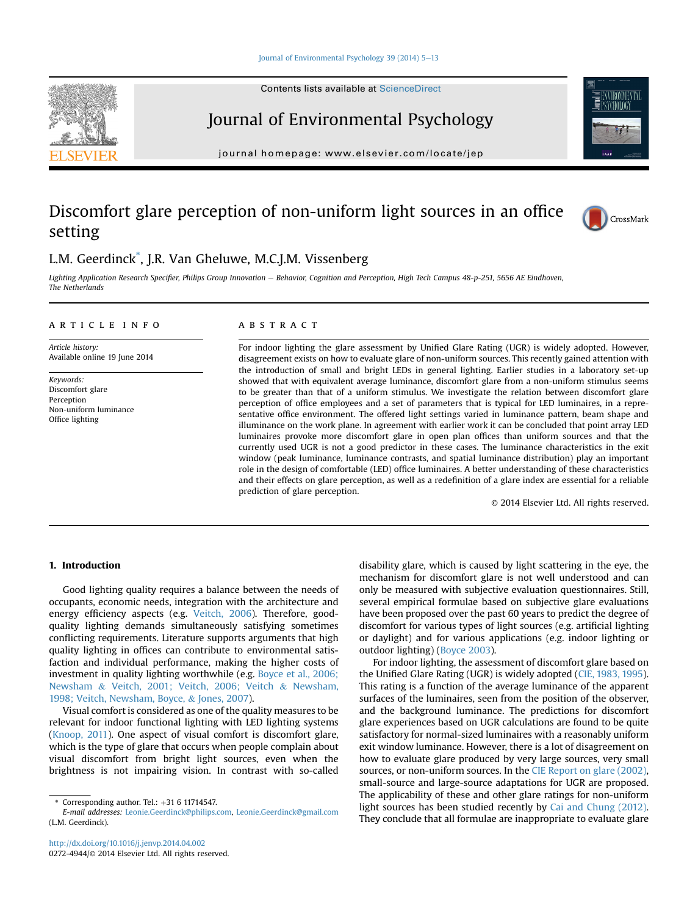Contents lists available at ScienceDirect

# Journal of Environmental Psychology

journal homepage: [www.elsevier.com/locate/jep](http://www.elsevier.com/locate/jep)

# Discomfort glare perception of non-uniform light sources in an office setting

### L.M. Geerdinck\* , J.R. Van Gheluwe, M.C.J.M. Vissenberg

Lighting Application Research Specifier, Philips Group Innovation e Behavior, Cognition and Perception, High Tech Campus 48-p-251, 5656 AE Eindhoven, The Netherlands

#### article info

Article history: Available online 19 June 2014

Keywords: Discomfort glare Perception Non-uniform luminance Office lighting

#### **ABSTRACT**

For indoor lighting the glare assessment by Unified Glare Rating (UGR) is widely adopted. However, disagreement exists on how to evaluate glare of non-uniform sources. This recently gained attention with the introduction of small and bright LEDs in general lighting. Earlier studies in a laboratory set-up showed that with equivalent average luminance, discomfort glare from a non-uniform stimulus seems to be greater than that of a uniform stimulus. We investigate the relation between discomfort glare perception of office employees and a set of parameters that is typical for LED luminaires, in a representative office environment. The offered light settings varied in luminance pattern, beam shape and illuminance on the work plane. In agreement with earlier work it can be concluded that point array LED luminaires provoke more discomfort glare in open plan offices than uniform sources and that the currently used UGR is not a good predictor in these cases. The luminance characteristics in the exit window (peak luminance, luminance contrasts, and spatial luminance distribution) play an important role in the design of comfortable (LED) office luminaires. A better understanding of these characteristics and their effects on glare perception, as well as a redefinition of a glare index are essential for a reliable prediction of glare perception.

© 2014 Elsevier Ltd. All rights reserved.

#### 1. Introduction

Good lighting quality requires a balance between the needs of occupants, economic needs, integration with the architecture and energy efficiency aspects (e.g. Veitch, 2006). Therefore, goodquality lighting demands simultaneously satisfying sometimes conflicting requirements. Literature supports arguments that high quality lighting in offices can contribute to environmental satisfaction and individual performance, making the higher costs of investment in quality lighting worthwhile (e.g. Boyce et al., 2006; Newsham & Veitch, 2001; Veitch, 2006; Veitch & Newsham, 1998; Veitch, Newsham, Boyce, & Jones, 2007).

Visual comfort is considered as one of the quality measures to be relevant for indoor functional lighting with LED lighting systems (Knoop, 2011). One aspect of visual comfort is discomfort glare, which is the type of glare that occurs when people complain about visual discomfort from bright light sources, even when the brightness is not impairing vision. In contrast with so-called disability glare, which is caused by light scattering in the eye, the mechanism for discomfort glare is not well understood and can only be measured with subjective evaluation questionnaires. Still, several empirical formulae based on subjective glare evaluations have been proposed over the past 60 years to predict the degree of discomfort for various types of light sources (e.g. artificial lighting or daylight) and for various applications (e.g. indoor lighting or outdoor lighting) (Boyce 2003).

For indoor lighting, the assessment of discomfort glare based on the Unified Glare Rating (UGR) is widely adopted (CIE, 1983, 1995). This rating is a function of the average luminance of the apparent surfaces of the luminaires, seen from the position of the observer, and the background luminance. The predictions for discomfort glare experiences based on UGR calculations are found to be quite satisfactory for normal-sized luminaires with a reasonably uniform exit window luminance. However, there is a lot of disagreement on how to evaluate glare produced by very large sources, very small sources, or non-uniform sources. In the CIE Report on glare (2002), small-source and large-source adaptations for UGR are proposed. The applicability of these and other glare ratings for non-uniform light sources has been studied recently by Cai and Chung (2012). They conclude that all formulae are inappropriate to evaluate glare





<sup>\*</sup> Corresponding author. Tel.:  $+31$  6 11714547.

E-mail addresses: [Leonie.Geerdinck@philips.com,](mailto:Leonie.Geerdinck@philips.com) [Leonie.Geerdinck@gmail.com](mailto:Leonie.Geerdinck@gmail.com) (L.M. Geerdinck).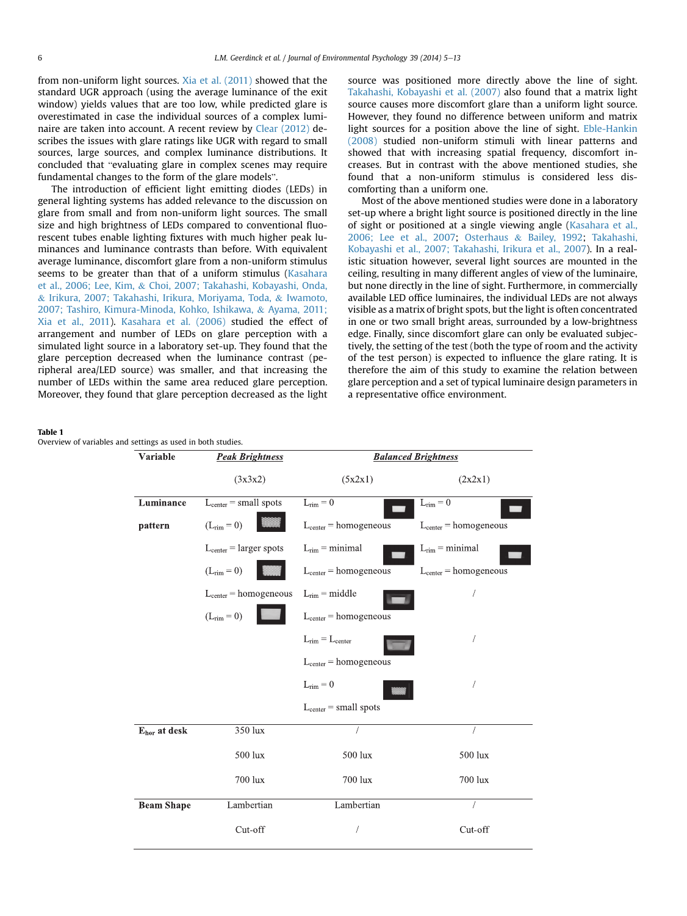from non-uniform light sources. Xia et al. (2011) showed that the standard UGR approach (using the average luminance of the exit window) yields values that are too low, while predicted glare is overestimated in case the individual sources of a complex luminaire are taken into account. A recent review by Clear (2012) describes the issues with glare ratings like UGR with regard to small sources, large sources, and complex luminance distributions. It concluded that "evaluating glare in complex scenes may require fundamental changes to the form of the glare models".

The introduction of efficient light emitting diodes (LEDs) in general lighting systems has added relevance to the discussion on glare from small and from non-uniform light sources. The small size and high brightness of LEDs compared to conventional fluorescent tubes enable lighting fixtures with much higher peak luminances and luminance contrasts than before. With equivalent average luminance, discomfort glare from a non-uniform stimulus seems to be greater than that of a uniform stimulus (Kasahara et al., 2006; Lee, Kim, & Choi, 2007; Takahashi, Kobayashi, Onda, & Irikura, 2007; Takahashi, Irikura, Moriyama, Toda, & Iwamoto, 2007; Tashiro, Kimura-Minoda, Kohko, Ishikawa, & Ayama, 2011; Xia et al., 2011). Kasahara et al. (2006) studied the effect of arrangement and number of LEDs on glare perception with a simulated light source in a laboratory set-up. They found that the glare perception decreased when the luminance contrast (peripheral area/LED source) was smaller, and that increasing the number of LEDs within the same area reduced glare perception. Moreover, they found that glare perception decreased as the light source was positioned more directly above the line of sight. Takahashi, Kobayashi et al. (2007) also found that a matrix light source causes more discomfort glare than a uniform light source. However, they found no difference between uniform and matrix light sources for a position above the line of sight. Eble-Hankin (2008) studied non-uniform stimuli with linear patterns and showed that with increasing spatial frequency, discomfort increases. But in contrast with the above mentioned studies, she found that a non-uniform stimulus is considered less discomforting than a uniform one.

Most of the above mentioned studies were done in a laboratory set-up where a bright light source is positioned directly in the line of sight or positioned at a single viewing angle (Kasahara et al., 2006; Lee et al., 2007; Osterhaus & Bailey, 1992; Takahashi, Kobayashi et al., 2007; Takahashi, Irikura et al., 2007). In a realistic situation however, several light sources are mounted in the ceiling, resulting in many different angles of view of the luminaire, but none directly in the line of sight. Furthermore, in commercially available LED office luminaires, the individual LEDs are not always visible as a matrix of bright spots, but the light is often concentrated in one or two small bright areas, surrounded by a low-brightness edge. Finally, since discomfort glare can only be evaluated subjectively, the setting of the test (both the type of room and the activity of the test person) is expected to influence the glare rating. It is therefore the aim of this study to examine the relation between glare perception and a set of typical luminaire design parameters in a representative office environment.

#### Table 1

Overview of variables and settings as used in both studies.

| Variable                 | <b>Peak Brightness</b>      | <b>Balanced Brightness</b> |                            |
|--------------------------|-----------------------------|----------------------------|----------------------------|
|                          | (3x3x2)                     | (5x2x1)                    | (2x2x1)                    |
| Luminance                | $L_{center} = small spots$  | $L_{rim} = 0$              | $L_{rim} = 0$              |
| pattern                  | $(L_{rim} = 0)$             | $L_{center} = homogeneous$ | $L_{center} = homogeneous$ |
|                          | $L_{center} = larger spots$ | $L_{rim} = minimal$        | $L_{rim} = minimal$        |
|                          | $(L_{rim} = 0)$             | $L_{center} = homogeneous$ | $L_{center} = homogeneous$ |
|                          | $L_{center} = homogeneous$  | $L_{rim}$ = middle         | Í                          |
|                          | $(L_{rim} = 0)$             | $L_{center} = homogeneous$ |                            |
|                          |                             | $L_{rim} = L_{center}$     |                            |
|                          |                             | $L_{center} = homogeneous$ |                            |
|                          |                             | $L_{rim} = 0$              | 7                          |
|                          |                             | $L_{center}$ = small spots |                            |
| E <sub>hor</sub> at desk | 350 lux                     |                            | $\sqrt{ }$                 |
|                          | 500 lux                     | 500 lux                    | 500 lux                    |
|                          | 700 lux                     | 700 lux                    | 700 lux                    |
| <b>Beam Shape</b>        | Lambertian                  | Lambertian                 |                            |
|                          | Cut-off                     |                            | Cut-off                    |